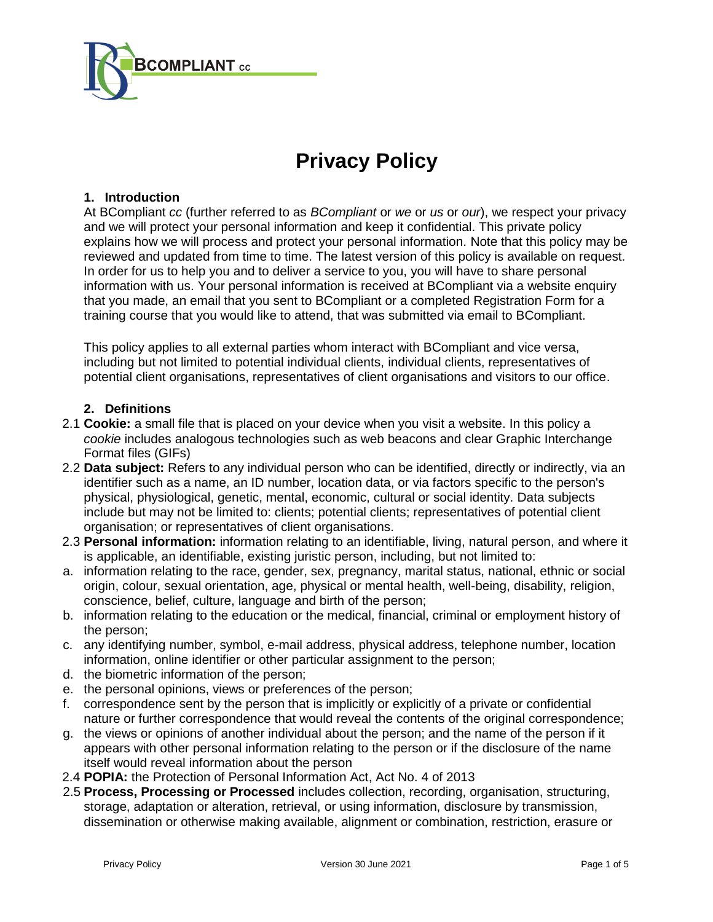

# **Privacy Policy**

# **1. Introduction**

At BCompliant *cc* (further referred to as *BCompliant* or *we* or *us* or *our*), we respect your privacy and we will protect your personal information and keep it confidential. This private policy explains how we will process and protect your personal information. Note that this policy may be reviewed and updated from time to time. The latest version of this policy is available on request. In order for us to help you and to deliver a service to you, you will have to share personal information with us. Your personal information is received at BCompliant via a website enquiry that you made, an email that you sent to BCompliant or a completed Registration Form for a training course that you would like to attend, that was submitted via email to BCompliant.

This policy applies to all external parties whom interact with BCompliant and vice versa, including but not limited to potential individual clients, individual clients, representatives of potential client organisations, representatives of client organisations and visitors to our office.

# **2. Definitions**

- 2.1 **Cookie:** a small file that is placed on your device when you visit a website. In this policy a *cookie* includes analogous technologies such as web beacons and clear Graphic Interchange Format files (GIFs)
- 2.2 **Data subject:** Refers to any individual person who can be identified, directly or indirectly, via an identifier such as a name, an ID number, location data, or via factors specific to the person's physical, physiological, genetic, mental, economic, cultural or social identity. Data subjects include but may not be limited to: clients; potential clients; representatives of potential client organisation; or representatives of client organisations.
- 2.3 **Personal information:** information relating to an identifiable, living, natural person, and where it is applicable, an identifiable, existing juristic person, including, but not limited to:
- a. information relating to the race, gender, sex, pregnancy, marital status, national, ethnic or social origin, colour, sexual orientation, age, physical or mental health, well-being, disability, religion, conscience, belief, culture, language and birth of the person;
- b. information relating to the education or the medical, financial, criminal or employment history of the person;
- c. any identifying number, symbol, e-mail address, physical address, telephone number, location information, online identifier or other particular assignment to the person;
- d. the biometric information of the person;
- e. the personal opinions, views or preferences of the person;
- f. correspondence sent by the person that is implicitly or explicitly of a private or confidential nature or further correspondence that would reveal the contents of the original correspondence;
- g. the views or opinions of another individual about the person; and the name of the person if it appears with other personal information relating to the person or if the disclosure of the name itself would reveal information about the person
- 2.4 **POPIA:** the Protection of Personal Information Act, Act No. 4 of 2013
- 2.5 **Process, Processing or Processed** includes collection, recording, organisation, structuring, storage, adaptation or alteration, retrieval, or using information, disclosure by transmission, dissemination or otherwise making available, alignment or combination, restriction, erasure or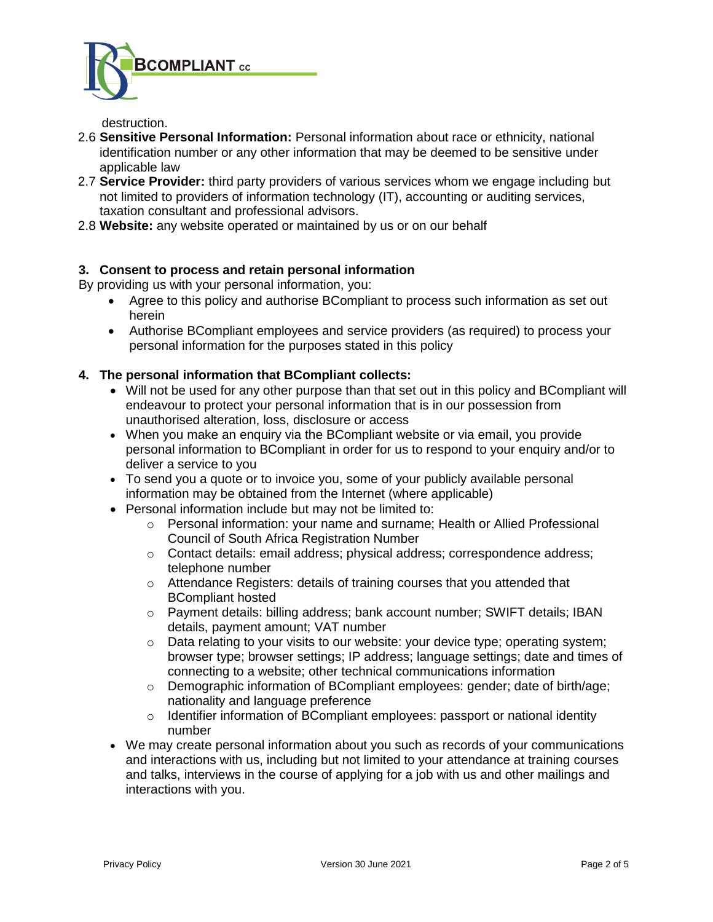

## destruction.

- 2.6 **Sensitive Personal Information:** Personal information about race or ethnicity, national identification number or any other information that may be deemed to be sensitive under applicable law
- 2.7 **Service Provider:** third party providers of various services whom we engage including but not limited to providers of information technology (IT), accounting or auditing services, taxation consultant and professional advisors.
- 2.8 **Website:** any website operated or maintained by us or on our behalf

# **3. Consent to process and retain personal information**

By providing us with your personal information, you:

- Agree to this policy and authorise BCompliant to process such information as set out herein
- Authorise BCompliant employees and service providers (as required) to process your personal information for the purposes stated in this policy

# **4. The personal information that BCompliant collects:**

- Will not be used for any other purpose than that set out in this policy and BCompliant will endeavour to protect your personal information that is in our possession from unauthorised alteration, loss, disclosure or access
- When you make an enquiry via the BCompliant website or via email, you provide personal information to BCompliant in order for us to respond to your enquiry and/or to deliver a service to you
- To send you a quote or to invoice you, some of your publicly available personal information may be obtained from the Internet (where applicable)
- Personal information include but may not be limited to:
	- o Personal information: your name and surname; Health or Allied Professional Council of South Africa Registration Number
	- o Contact details: email address; physical address; correspondence address; telephone number
	- o Attendance Registers: details of training courses that you attended that BCompliant hosted
	- o Payment details: billing address; bank account number; SWIFT details; IBAN details, payment amount; VAT number
	- $\circ$  Data relating to your visits to our website: your device type; operating system; browser type; browser settings; IP address; language settings; date and times of connecting to a website; other technical communications information
	- $\circ$  Demographic information of BCompliant employees: gender; date of birth/age; nationality and language preference
	- $\circ$  Identifier information of BCompliant employees: passport or national identity number
- We may create personal information about you such as records of your communications and interactions with us, including but not limited to your attendance at training courses and talks, interviews in the course of applying for a job with us and other mailings and interactions with you.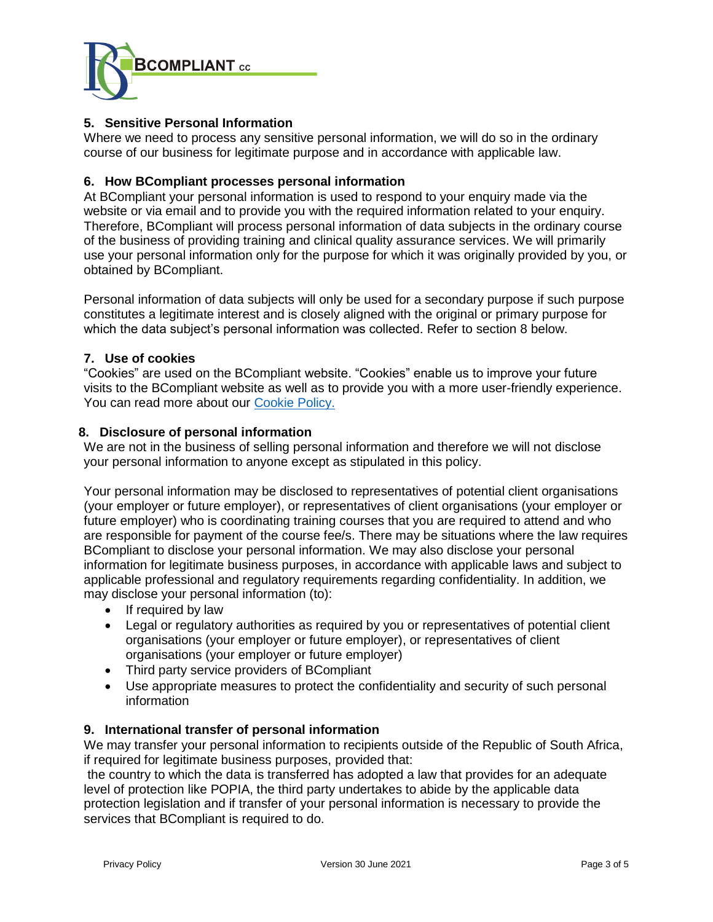

# **5. Sensitive Personal Information**

Where we need to process any sensitive personal information, we will do so in the ordinary course of our business for legitimate purpose and in accordance with applicable law.

## **6. How BCompliant processes personal information**

At BCompliant your personal information is used to respond to your enquiry made via the website or via email and to provide you with the required information related to your enquiry. Therefore, BCompliant will process personal information of data subjects in the ordinary course of the business of providing training and clinical quality assurance services. We will primarily use your personal information only for the purpose for which it was originally provided by you, or obtained by BCompliant.

Personal information of data subjects will only be used for a secondary purpose if such purpose constitutes a legitimate interest and is closely aligned with the original or primary purpose for which the data subject's personal information was collected. Refer to section 8 below.

# **7. Use of cookies**

"Cookies" are used on the BCompliant website. "Cookies" enable us to improve your future visits to the BCompliant website as well as to provide you with a more user-friendly experience. You can read more about our [Cookie Policy.](https://bcompliantcc.co.za/wp-content/uploads/sites/66/2021/07/BCompliant-cc-Cookie-Policy-30Jun2021.pdf)

# **8. Disclosure of personal information**

We are not in the business of selling personal information and therefore we will not disclose your personal information to anyone except as stipulated in this policy.

Your personal information may be disclosed to representatives of potential client organisations (your employer or future employer), or representatives of client organisations (your employer or future employer) who is coordinating training courses that you are required to attend and who are responsible for payment of the course fee/s. There may be situations where the law requires BCompliant to disclose your personal information. We may also disclose your personal information for legitimate business purposes, in accordance with applicable laws and subject to applicable professional and regulatory requirements regarding confidentiality. In addition, we may disclose your personal information (to):

- If required by law
- Legal or regulatory authorities as required by you or representatives of potential client organisations (your employer or future employer), or representatives of client organisations (your employer or future employer)
- Third party service providers of BCompliant
- Use appropriate measures to protect the confidentiality and security of such personal information

# **9. International transfer of personal information**

We may transfer your personal information to recipients outside of the Republic of South Africa, if required for legitimate business purposes, provided that:

the country to which the data is transferred has adopted a law that provides for an adequate level of protection like POPIA, the third party undertakes to abide by the applicable data protection legislation and if transfer of your personal information is necessary to provide the services that BCompliant is required to do.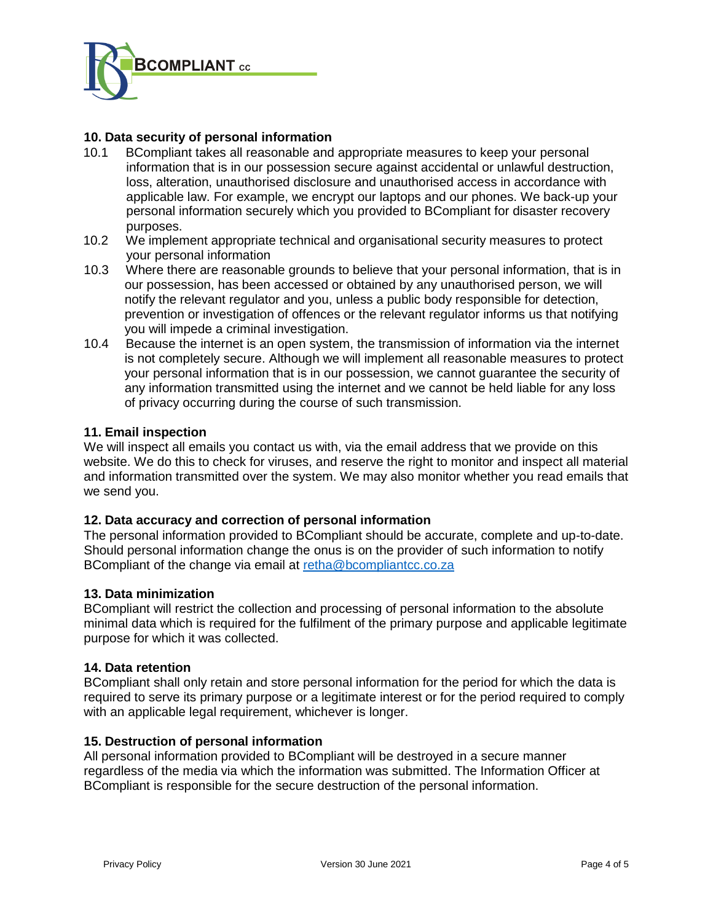

# **10. Data security of personal information**

- 10.1 BCompliant takes all reasonable and appropriate measures to keep your personal information that is in our possession secure against accidental or unlawful destruction, loss, alteration, unauthorised disclosure and unauthorised access in accordance with applicable law. For example, we encrypt our laptops and our phones. We back-up your personal information securely which you provided to BCompliant for disaster recovery purposes.
- 10.2 We implement appropriate technical and organisational security measures to protect your personal information
- 10.3 Where there are reasonable grounds to believe that your personal information, that is in our possession, has been accessed or obtained by any unauthorised person, we will notify the relevant regulator and you, unless a public body responsible for detection, prevention or investigation of offences or the relevant regulator informs us that notifying you will impede a criminal investigation.
- 10.4 Because the internet is an open system, the transmission of information via the internet is not completely secure. Although we will implement all reasonable measures to protect your personal information that is in our possession, we cannot guarantee the security of any information transmitted using the internet and we cannot be held liable for any loss of privacy occurring during the course of such transmission.

# **11. Email inspection**

We will inspect all emails you [contact us](https://www.michalsons.com/about-michalsons/contact-us) with, via the email address that we provide on this website. We do this to check for viruses, and reserve the right to monitor and inspect all material and information transmitted over the system. We may also monitor whether you read emails that we send you.

## **12. Data accuracy and correction of personal information**

The personal information provided to BCompliant should be accurate, complete and up-to-date. Should personal information change the onus is on the provider of such information to notify BCompliant of the change via email at [retha@bcompliantcc.co.za](mailto:retha@bcompliantcc.co.za)

## **13. Data minimization**

BCompliant will restrict the collection and processing of personal information to the absolute minimal data which is required for the fulfilment of the primary purpose and applicable legitimate purpose for which it was collected.

## **14. Data retention**

BCompliant shall only retain and store personal information for the period for which the data is required to serve its primary purpose or a legitimate interest or for the period required to comply with an applicable legal requirement, whichever is longer.

## **15. Destruction of personal information**

All personal information provided to BCompliant will be destroyed in a secure manner regardless of the media via which the information was submitted. The Information Officer at BCompliant is responsible for the secure destruction of the personal information.